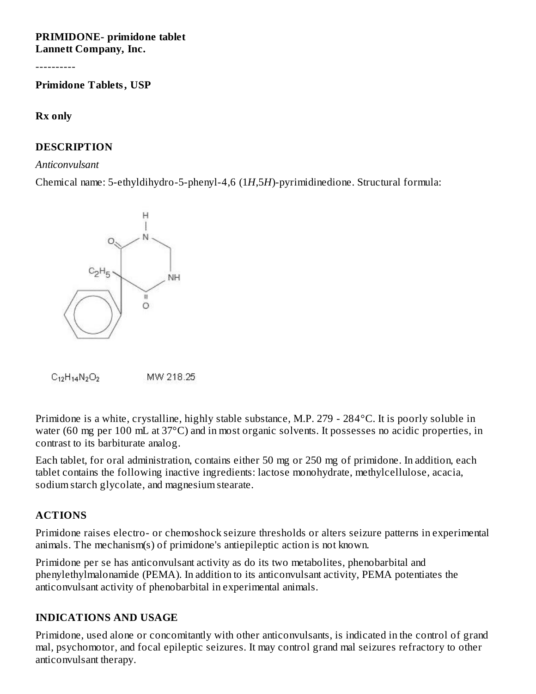#### **PRIMIDONE- primidone tablet Lannett Company, Inc.**

----------

**Primidone Tablets, USP**

#### **Rx only**

## **DESCRIPTION**

#### *Anticonvulsant*

Chemical name: 5-ethyldihydro-5-phenyl-4,6 (1*H*,5*H*)-pyrimidinedione. Structural formula:





Primidone is a white, crystalline, highly stable substance, M.P. 279 - 284°C. It is poorly soluble in water (60 mg per 100 mL at 37°C) and in most organic solvents. It possesses no acidic properties, in contrast to its barbiturate analog.

Each tablet, for oral administration, contains either 50 mg or 250 mg of primidone. In addition, each tablet contains the following inactive ingredients: lactose monohydrate, methylcellulose, acacia, sodium starch glycolate, and magnesium stearate.

### **ACTIONS**

Primidone raises electro- or chemoshock seizure thresholds or alters seizure patterns in experimental animals. The mechanism(s) of primidone's antiepileptic action is not known.

Primidone per se has anticonvulsant activity as do its two metabolites, phenobarbital and phenylethylmalonamide (PEMA). In addition to its anticonvulsant activity, PEMA potentiates the anticonvulsant activity of phenobarbital in experimental animals.

### **INDICATIONS AND USAGE**

Primidone, used alone or concomitantly with other anticonvulsants, is indicated in the control of grand mal, psychomotor, and focal epileptic seizures. It may control grand mal seizures refractory to other anticonvulsant therapy.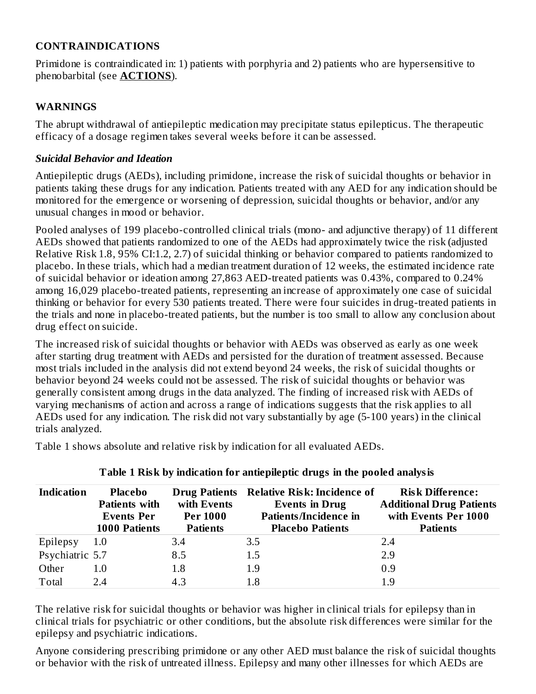## **CONTRAINDICATIONS**

Primidone is contraindicated in: 1) patients with porphyria and 2) patients who are hypersensitive to phenobarbital (see **ACTIONS**).

### **WARNINGS**

The abrupt withdrawal of antiepileptic medication may precipitate status epilepticus. The therapeutic efficacy of a dosage regimen takes several weeks before it can be assessed.

## *Suicidal Behavior and Ideation*

Antiepileptic drugs (AEDs), including primidone, increase the risk of suicidal thoughts or behavior in patients taking these drugs for any indication. Patients treated with any AED for any indication should be monitored for the emergence or worsening of depression, suicidal thoughts or behavior, and/or any unusual changes in mood or behavior.

Pooled analyses of 199 placebo-controlled clinical trials (mono- and adjunctive therapy) of 11 different AEDs showed that patients randomized to one of the AEDs had approximately twice the risk (adjusted Relative Risk 1.8, 95% CI:1.2, 2.7) of suicidal thinking or behavior compared to patients randomized to placebo. In these trials, which had a median treatment duration of 12 weeks, the estimated incidence rate of suicidal behavior or ideation among 27,863 AED-treated patients was 0.43%, compared to 0.24% among 16,029 placebo-treated patients, representing an increase of approximately one case of suicidal thinking or behavior for every 530 patients treated. There were four suicides in drug-treated patients in the trials and none in placebo-treated patients, but the number is too small to allow any conclusion about drug effect on suicide.

The increased risk of suicidal thoughts or behavior with AEDs was observed as early as one week after starting drug treatment with AEDs and persisted for the duration of treatment assessed. Because most trials included in the analysis did not extend beyond 24 weeks, the risk of suicidal thoughts or behavior beyond 24 weeks could not be assessed. The risk of suicidal thoughts or behavior was generally consistent among drugs in the data analyzed. The finding of increased risk with AEDs of varying mechanisms of action and across a range of indications suggests that the risk applies to all AEDs used for any indication. The risk did not vary substantially by age (5-100 years) in the clinical trials analyzed.

| <b>Indication</b> | <b>Placebo</b><br><b>Patients with</b><br><b>Events Per</b><br><b>1000 Patients</b> | with Events<br><b>Per 1000</b><br><b>Patients</b> | Drug Patients Relative Risk: Incidence of<br><b>Events in Drug</b><br><b>Patients/Incidence in</b><br><b>Placebo Patients</b> | <b>Risk Difference:</b><br><b>Additional Drug Patients</b><br>with Events Per 1000<br><b>Patients</b> |
|-------------------|-------------------------------------------------------------------------------------|---------------------------------------------------|-------------------------------------------------------------------------------------------------------------------------------|-------------------------------------------------------------------------------------------------------|
| Epilepsy          | 1.0                                                                                 | 3.4                                               | 3.5                                                                                                                           | 2.4                                                                                                   |
| Psychiatric 5.7   |                                                                                     | 8.5                                               | 1.5                                                                                                                           | 2.9                                                                                                   |
| Other             | 1.0                                                                                 | 1.8                                               | 1.9                                                                                                                           | 0.9                                                                                                   |
| Total             | 2.4                                                                                 | 4.3                                               | 1.8                                                                                                                           | 1.9                                                                                                   |

Table 1 shows absolute and relative risk by indication for all evaluated AEDs.

**Table 1 Risk by indication for antiepileptic drugs in the pooled analysis**

The relative risk for suicidal thoughts or behavior was higher in clinical trials for epilepsy than in clinical trials for psychiatric or other conditions, but the absolute risk differences were similar for the epilepsy and psychiatric indications.

Anyone considering prescribing primidone or any other AED must balance the risk of suicidal thoughts or behavior with the risk of untreated illness. Epilepsy and many other illnesses for which AEDs are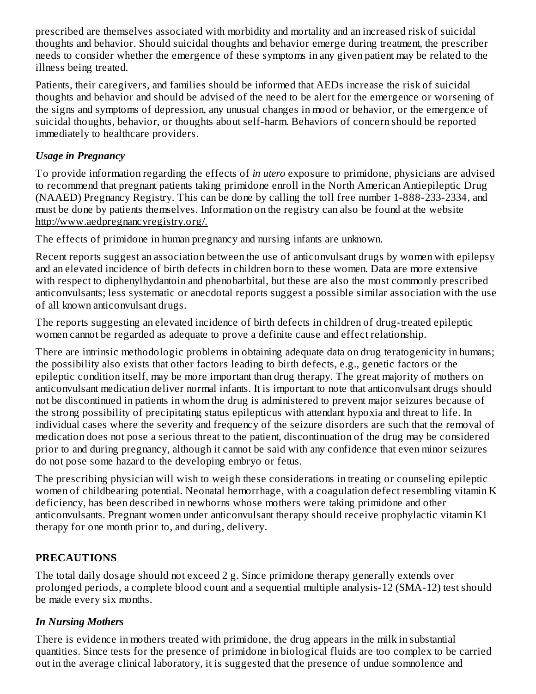prescribed are themselves associated with morbidity and mortality and an increased risk of suicidal thoughts and behavior. Should suicidal thoughts and behavior emerge during treatment, the prescriber needs to consider whether the emergence of these symptoms in any given patient may be related to the illness being treated.

Patients, their caregivers, and families should be informed that AEDs increase the risk of suicidal thoughts and behavior and should be advised of the need to be alert for the emergence or worsening of the signs and symptoms of depression, any unusual changes in mood or behavior, or the emergence of suicidal thoughts, behavior, or thoughts about self-harm. Behaviors of concern should be reported immediately to healthcare providers.

## *Usage in Pregnancy*

To provide information regarding the effects of *in utero* exposure to primidone, physicians are advised to recommend that pregnant patients taking primidone enroll in the North American Antiepileptic Drug (NAAED) Pregnancy Registry. This can be done by calling the toll free number 1-888-233-2334, and must be done by patients themselves. Information on the registry can also be found at the website http://www.aedpregnancyregistry.org/.

The effects of primidone in human pregnancy and nursing infants are unknown.

Recent reports suggest an association between the use of anticonvulsant drugs by women with epilepsy and an elevated incidence of birth defects in children born to these women. Data are more extensive with respect to diphenylhydantoin and phenobarbital, but these are also the most commonly prescribed anticonvulsants; less systematic or anecdotal reports suggest a possible similar association with the use of all known anticonvulsant drugs.

The reports suggesting an elevated incidence of birth defects in children of drug-treated epileptic women cannot be regarded as adequate to prove a definite cause and effect relationship.

There are intrinsic methodologic problems in obtaining adequate data on drug teratogenicity in humans; the possibility also exists that other factors leading to birth defects, e.g., genetic factors or the epileptic condition itself, may be more important than drug therapy. The great majority of mothers on anticonvulsant medication deliver normal infants. It is important to note that anticonvulsant drugs should not be discontinued in patients in whom the drug is administered to prevent major seizures because of the strong possibility of precipitating status epilepticus with attendant hypoxia and threat to life. In individual cases where the severity and frequency of the seizure disorders are such that the removal of medication does not pose a serious threat to the patient, discontinuation of the drug may be considered prior to and during pregnancy, although it cannot be said with any confidence that even minor seizures do not pose some hazard to the developing embryo or fetus.

The prescribing physician will wish to weigh these considerations in treating or counseling epileptic women of childbearing potential. Neonatal hemorrhage, with a coagulation defect resembling vitamin K deficiency, has been described in newborns whose mothers were taking primidone and other anticonvulsants. Pregnant women under anticonvulsant therapy should receive prophylactic vitamin K1 therapy for one month prior to, and during, delivery.

# **PRECAUTIONS**

The total daily dosage should not exceed 2 g. Since primidone therapy generally extends over prolonged periods, a complete blood count and a sequential multiple analysis-12 (SMA-12) test should be made every six months.

# *In Nursing Mothers*

There is evidence in mothers treated with primidone, the drug appears in the milk in substantial quantities. Since tests for the presence of primidone in biological fluids are too complex to be carried out in the average clinical laboratory, it is suggested that the presence of undue somnolence and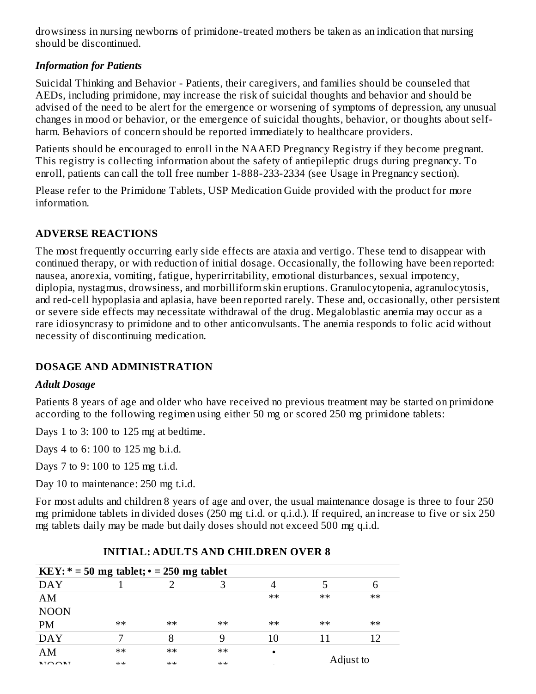drowsiness in nursing newborns of primidone-treated mothers be taken as an indication that nursing should be discontinued.

## *Information for Patients*

Suicidal Thinking and Behavior - Patients, their caregivers, and families should be counseled that AEDs, including primidone, may increase the risk of suicidal thoughts and behavior and should be advised of the need to be alert for the emergence or worsening of symptoms of depression, any unusual changes in mood or behavior, or the emergence of suicidal thoughts, behavior, or thoughts about selfharm. Behaviors of concern should be reported immediately to healthcare providers.

Patients should be encouraged to enroll in the NAAED Pregnancy Registry if they become pregnant. This registry is collecting information about the safety of antiepileptic drugs during pregnancy. To enroll, patients can call the toll free number 1-888-233-2334 (see Usage in Pregnancy section).

Please refer to the Primidone Tablets, USP Medication Guide provided with the product for more information.

## **ADVERSE REACTIONS**

The most frequently occurring early side effects are ataxia and vertigo. These tend to disappear with continued therapy, or with reduction of initial dosage. Occasionally, the following have been reported: nausea, anorexia, vomiting, fatigue, hyperirritability, emotional disturbances, sexual impotency, diplopia, nystagmus, drowsiness, and morbilliform skin eruptions. Granulocytopenia, agranulocytosis, and red-cell hypoplasia and aplasia, have been reported rarely. These and, occasionally, other persistent or severe side effects may necessitate withdrawal of the drug. Megaloblastic anemia may occur as a rare idiosyncrasy to primidone and to other anticonvulsants. The anemia responds to folic acid without necessity of discontinuing medication.

### **DOSAGE AND ADMINISTRATION**

### *Adult Dosage*

Patients 8 years of age and older who have received no previous treatment may be started on primidone according to the following regimen using either 50 mg or scored 250 mg primidone tablets:

Days 1 to 3: 100 to 125 mg at bedtime.

Days 4 to 6: 100 to 125 mg b.i.d.

Days 7 to 9: 100 to 125 mg t.i.d.

Day 10 to maintenance: 250 mg t.i.d.

For most adults and children 8 years of age and over, the usual maintenance dosage is three to four 250 mg primidone tablets in divided doses (250 mg t.i.d. or q.i.d.). If required, an increase to five or six 250 mg tablets daily may be made but daily doses should not exceed 500 mg q.i.d.

| KEY: $* = 50$ mg tablet; $\cdot = 250$ mg tablet |        |         |        |           |           |       |
|--------------------------------------------------|--------|---------|--------|-----------|-----------|-------|
| <b>DAY</b>                                       |        |         |        |           |           |       |
| AM                                               |        |         |        | $**$      | $**$      | $***$ |
| <b>NOON</b>                                      |        |         |        |           |           |       |
| <b>PM</b>                                        | $**$   | $**$    | $**$   | $**$      | $**$      | $**$  |
| <b>DAY</b>                                       |        |         | 9      | 10        |           |       |
| AM                                               | $**$   | $**$    | $***$  | $\bullet$ |           |       |
| $NLO$ $\Omega$                                   | عادعاد | ماد ماد | مادماد |           | Adjust to |       |

# **INITIAL: ADULTS AND CHILDREN OVER 8**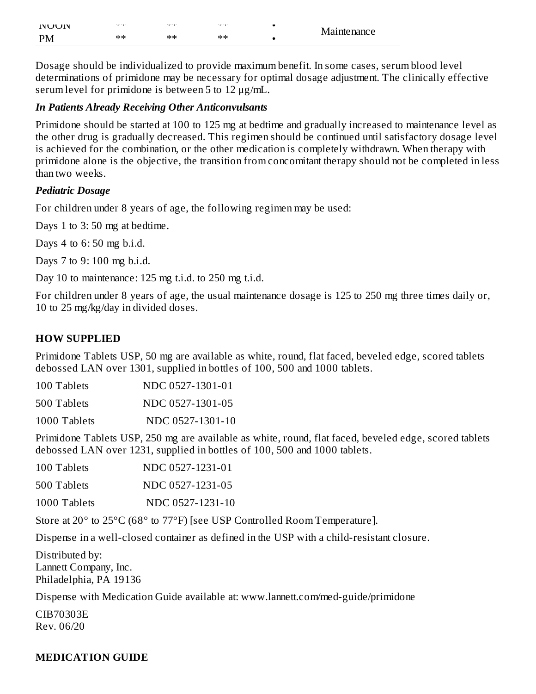| <b>INUUIN</b> | 1.1.11 | <b>SAMPLE</b> | <b>SAMPAY</b> | Maintenance |
|---------------|--------|---------------|---------------|-------------|
| <b>PM</b>     | **     | **            | $**$          |             |

Dosage should be individualized to provide maximum benefit. In some cases, serum blood level determinations of primidone may be necessary for optimal dosage adjustment. The clinically effective serum level for primidone is between 5 to 12 μg/mL.

#### *In Patients Already Receiving Other Anticonvulsants*

Primidone should be started at 100 to 125 mg at bedtime and gradually increased to maintenance level as the other drug is gradually decreased. This regimen should be continued until satisfactory dosage level is achieved for the combination, or the other medication is completely withdrawn. When therapy with primidone alone is the objective, the transition from concomitant therapy should not be completed in less than two weeks.

### *Pediatric Dosage*

For children under 8 years of age, the following regimen may be used:

Days 1 to 3: 50 mg at bedtime.

Days 4 to 6: 50 mg b.i.d.

Days 7 to 9: 100 mg b.i.d.

Day 10 to maintenance: 125 mg t.i.d. to 250 mg t.i.d.

For children under 8 years of age, the usual maintenance dosage is 125 to 250 mg three times daily or, 10 to 25 mg/kg/day in divided doses.

### **HOW SUPPLIED**

Primidone Tablets USP, 50 mg are available as white, round, flat faced, beveled edge, scored tablets debossed LAN over 1301, supplied in bottles of 100, 500 and 1000 tablets.

| 100 Tablets  | NDC 0527-1301-01 |
|--------------|------------------|
| 500 Tablets  | NDC 0527-1301-05 |
| 1000 Tablets | NDC 0527-1301-10 |

Primidone Tablets USP, 250 mg are available as white, round, flat faced, beveled edge, scored tablets debossed LAN over 1231, supplied in bottles of 100, 500 and 1000 tablets.

| 100 Tablets  | NDC 0527-1231-01 |
|--------------|------------------|
| 500 Tablets  | NDC 0527-1231-05 |
| 1000 Tablets | NDC 0527-1231-10 |

Store at 20° to 25°C (68° to 77°F) [see USP Controlled Room Temperature].

Dispense in a well-closed container as defined in the USP with a child-resistant closure.

Distributed by: Lannett Company, Inc. Philadelphia, PA 19136

Dispense with Medication Guide available at: www.lannett.com/med-guide/primidone

CIB70303E Rev. 06/20

### **MEDICATION GUIDE**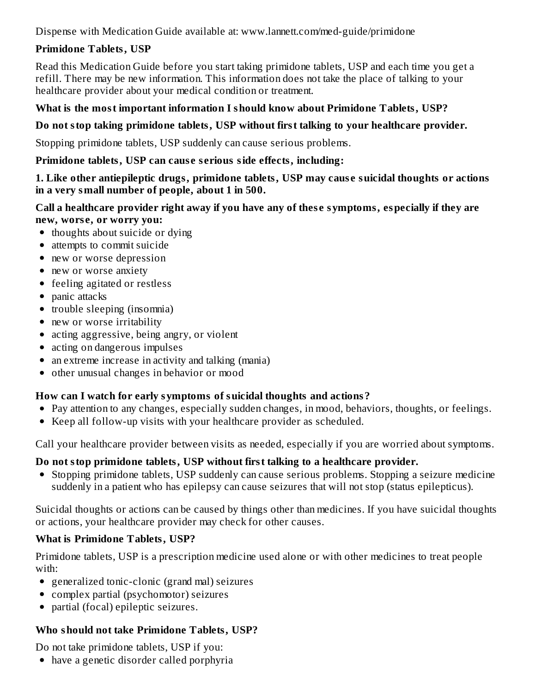Dispense with Medication Guide available at: www.lannett.com/med-guide/primidone

# **Primidone Tablets, USP**

Read this Medication Guide before you start taking primidone tablets, USP and each time you get a refill. There may be new information. This information does not take the place of talking to your healthcare provider about your medical condition or treatment.

## **What is the most important information I should know about Primidone Tablets, USP?**

## **Do not stop taking primidone tablets, USP without first talking to your healthcare provider.**

Stopping primidone tablets, USP suddenly can cause serious problems.

### **Primidone tablets, USP can caus e s erious side effects, including:**

### **1. Like other antiepileptic drugs, primidone tablets, USP may caus e suicidal thoughts or actions in a very small number of people, about 1 in 500.**

## **Call a healthcare provider right away if you have any of thes e symptoms, especially if they are new, wors e, or worry you:**

- thoughts about suicide or dying
- attempts to commit suicide
- new or worse depression
- new or worse anxiety
- feeling agitated or restless
- panic attacks
- trouble sleeping (insomnia)
- new or worse irritability
- acting aggressive, being angry, or violent
- acting on dangerous impulses
- an extreme increase in activity and talking (mania)
- other unusual changes in behavior or mood  $\bullet$

# **How can I watch for early symptoms of suicidal thoughts and actions?**

- Pay attention to any changes, especially sudden changes, in mood, behaviors, thoughts, or feelings.
- Keep all follow-up visits with your healthcare provider as scheduled.

Call your healthcare provider between visits as needed, especially if you are worried about symptoms.

# **Do not stop primidone tablets, USP without first talking to a healthcare provider.**

Stopping primidone tablets, USP suddenly can cause serious problems. Stopping a seizure medicine suddenly in a patient who has epilepsy can cause seizures that will not stop (status epilepticus).

Suicidal thoughts or actions can be caused by things other than medicines. If you have suicidal thoughts or actions, your healthcare provider may check for other causes.

# **What is Primidone Tablets, USP?**

Primidone tablets, USP is a prescription medicine used alone or with other medicines to treat people with:

- generalized tonic-clonic (grand mal) seizures
- complex partial (psychomotor) seizures
- partial (focal) epileptic seizures.

# **Who should not take Primidone Tablets, USP?**

Do not take primidone tablets, USP if you:

have a genetic disorder called porphyria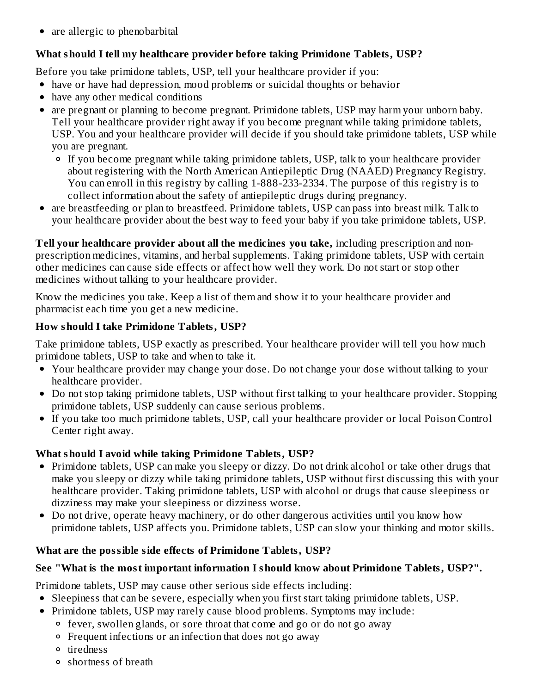• are allergic to phenobarbital

# **What should I tell my healthcare provider before taking Primidone Tablets, USP?**

Before you take primidone tablets, USP, tell your healthcare provider if you:

- have or have had depression, mood problems or suicidal thoughts or behavior
- have any other medical conditions
- are pregnant or planning to become pregnant. Primidone tablets, USP may harm your unborn baby. Tell your healthcare provider right away if you become pregnant while taking primidone tablets, USP. You and your healthcare provider will decide if you should take primidone tablets, USP while you are pregnant.
	- If you become pregnant while taking primidone tablets, USP, talk to your healthcare provider about registering with the North American Antiepileptic Drug (NAAED) Pregnancy Registry. You can enroll in this registry by calling 1-888-233-2334. The purpose of this registry is to collect information about the safety of antiepileptic drugs during pregnancy.
- are breastfeeding or plan to breastfeed. Primidone tablets, USP can pass into breast milk. Talk to your healthcare provider about the best way to feed your baby if you take primidone tablets, USP.

**Tell your healthcare provider about all the medicines you take,** including prescription and nonprescription medicines, vitamins, and herbal supplements. Taking primidone tablets, USP with certain other medicines can cause side effects or affect how well they work. Do not start or stop other medicines without talking to your healthcare provider.

Know the medicines you take. Keep a list of them and show it to your healthcare provider and pharmacist each time you get a new medicine.

# **How should I take Primidone Tablets, USP?**

Take primidone tablets, USP exactly as prescribed. Your healthcare provider will tell you how much primidone tablets, USP to take and when to take it.

- Your healthcare provider may change your dose. Do not change your dose without talking to your healthcare provider.
- Do not stop taking primidone tablets, USP without first talking to your healthcare provider. Stopping primidone tablets, USP suddenly can cause serious problems.
- If you take too much primidone tablets, USP, call your healthcare provider or local Poison Control Center right away.

# **What should I avoid while taking Primidone Tablets, USP?**

- Primidone tablets, USP can make you sleepy or dizzy. Do not drink alcohol or take other drugs that make you sleepy or dizzy while taking primidone tablets, USP without first discussing this with your healthcare provider. Taking primidone tablets, USP with alcohol or drugs that cause sleepiness or dizziness may make your sleepiness or dizziness worse.
- $\bullet$ Do not drive, operate heavy machinery, or do other dangerous activities until you know how primidone tablets, USP affects you. Primidone tablets, USP can slow your thinking and motor skills.

# **What are the possible side effects of Primidone Tablets, USP?**

# **See "What is the most important information I should know about Primidone Tablets, USP?".**

Primidone tablets, USP may cause other serious side effects including:

- Sleepiness that can be severe, especially when you first start taking primidone tablets, USP.
- Primidone tablets, USP may rarely cause blood problems. Symptoms may include:
	- fever, swollen glands, or sore throat that come and go or do not go away
	- Frequent infections or an infection that does not go away
	- tiredness
	- shortness of breath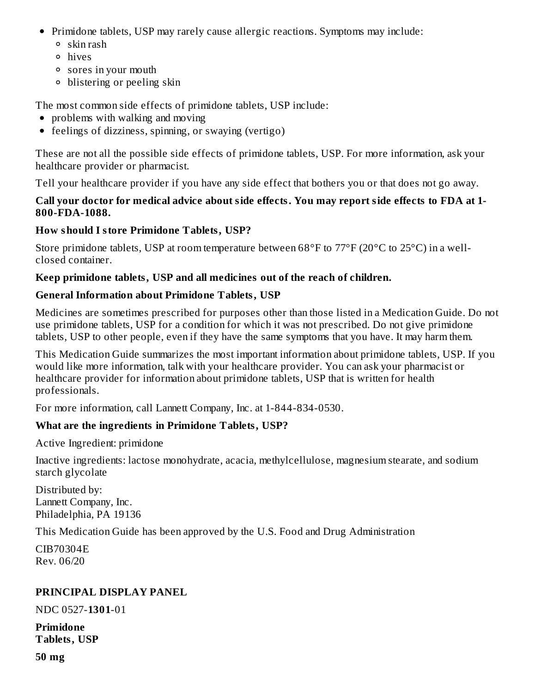- Primidone tablets, USP may rarely cause allergic reactions. Symptoms may include:
	- skin rash
	- hives
	- sores in your mouth
	- blistering or peeling skin

The most common side effects of primidone tablets, USP include:

- problems with walking and moving
- feelings of dizziness, spinning, or swaying (vertigo)

These are not all the possible side effects of primidone tablets, USP. For more information, ask your healthcare provider or pharmacist.

Tell your healthcare provider if you have any side effect that bothers you or that does not go away.

## **Call your doctor for medical advice about side effects. You may report side effects to FDA at 1- 800-FDA-1088.**

# **How should I store Primidone Tablets, USP?**

Store primidone tablets, USP at room temperature between 68°F to 77°F (20°C to 25°C) in a wellclosed container.

## **Keep primidone tablets, USP and all medicines out of the reach of children.**

## **General Information about Primidone Tablets, USP**

Medicines are sometimes prescribed for purposes other than those listed in a Medication Guide. Do not use primidone tablets, USP for a condition for which it was not prescribed. Do not give primidone tablets, USP to other people, even if they have the same symptoms that you have. It may harm them.

This Medication Guide summarizes the most important information about primidone tablets, USP. If you would like more information, talk with your healthcare provider. You can ask your pharmacist or healthcare provider for information about primidone tablets, USP that is written for health professionals.

For more information, call Lannett Company, Inc. at 1-844-834-0530.

# **What are the ingredients in Primidone Tablets, USP?**

Active Ingredient: primidone

Inactive ingredients: lactose monohydrate, acacia, methylcellulose, magnesium stearate, and sodium starch glycolate

Distributed by: Lannett Company, Inc. Philadelphia, PA 19136

This Medication Guide has been approved by the U.S. Food and Drug Administration

CIB70304E Rev. 06/20

# **PRINCIPAL DISPLAY PANEL**

NDC 0527-**1301**-01

**Primidone Tablets, USP**

**50 mg**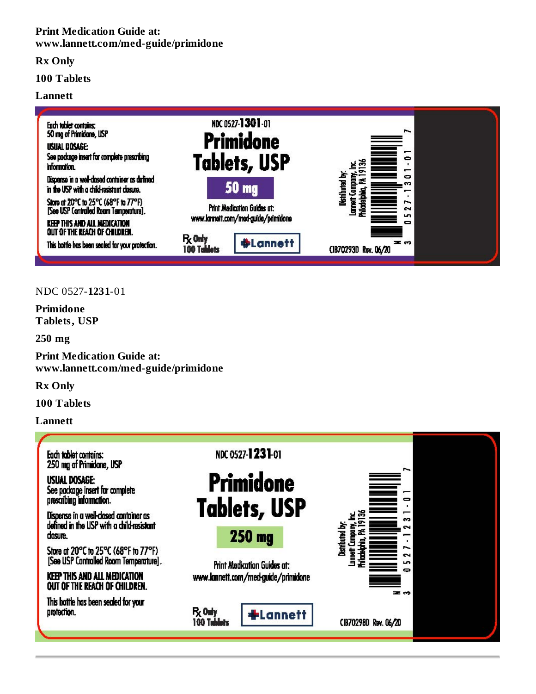#### **Print Medication Guide at: www.lannett.com/med-guide/primidone**

**Rx Only**

#### **100 Tablets**

#### **Lannett**



#### NDC 0527-**1231**-01

**Primidone Tablets, USP**

**250 mg**

**Print Medication Guide at: www.lannett.com/med-guide/primidone**

**Rx Only**

**100 Tablets**

**Lannett**

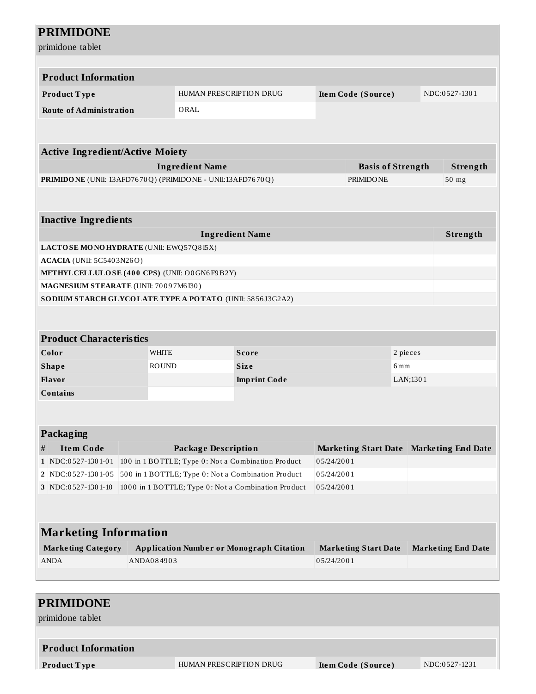| <b>Product Information</b>                                                            |              |                                               |                                                                                                           |                          |                                         |          |                           |
|---------------------------------------------------------------------------------------|--------------|-----------------------------------------------|-----------------------------------------------------------------------------------------------------------|--------------------------|-----------------------------------------|----------|---------------------------|
| Product Type                                                                          |              | HUMAN PRESCRIPTION DRUG<br>Item Code (Source) |                                                                                                           |                          |                                         |          | NDC:0527-1301             |
| <b>Route of Administration</b>                                                        |              | ORAL                                          |                                                                                                           |                          |                                         |          |                           |
|                                                                                       |              |                                               |                                                                                                           |                          |                                         |          |                           |
| <b>Active Ingredient/Active Moiety</b>                                                |              |                                               |                                                                                                           |                          |                                         |          |                           |
| <b>Ingredient Name</b>                                                                |              |                                               |                                                                                                           |                          | <b>Basis of Strength</b>                |          | Strength                  |
| PRIMIDONE (UNII: 13AFD7670Q) (PRIMIDONE - UNII:13AFD7670Q)                            |              |                                               |                                                                                                           |                          | <b>PRIMIDONE</b>                        |          | 50 mg                     |
|                                                                                       |              |                                               |                                                                                                           |                          |                                         |          |                           |
| <b>Inactive Ingredients</b>                                                           |              |                                               |                                                                                                           |                          |                                         |          |                           |
|                                                                                       |              |                                               | <b>Ingredient Name</b>                                                                                    |                          |                                         |          | Strength                  |
| LACTOSE MONOHYDRATE (UNII: EWQ57Q8I5X)                                                |              |                                               |                                                                                                           |                          |                                         |          |                           |
| <b>ACACIA</b> (UNII: 5C5403N26O)                                                      |              |                                               |                                                                                                           |                          |                                         |          |                           |
| METHYLCELLULOSE (400 CPS) (UNII: O0GN6F9B2Y)<br>MAGNESIUM STEARATE (UNII: 70097M6I30) |              |                                               |                                                                                                           |                          |                                         |          |                           |
| SO DIUM STARCH GLYCOLATE TYPE A POTATO (UNII: 5856J3G2A2)                             |              |                                               |                                                                                                           |                          |                                         |          |                           |
|                                                                                       |              |                                               |                                                                                                           |                          |                                         |          |                           |
|                                                                                       |              |                                               |                                                                                                           |                          |                                         |          |                           |
| <b>Product Characteristics</b>                                                        |              |                                               |                                                                                                           |                          |                                         |          |                           |
| Color                                                                                 | <b>WHITE</b> |                                               | <b>Score</b>                                                                                              |                          |                                         | 2 pieces |                           |
| <b>Shape</b>                                                                          | <b>ROUND</b> |                                               | <b>Size</b>                                                                                               |                          | 6mm                                     |          |                           |
| Flavor                                                                                |              |                                               | <b>Imprint Code</b>                                                                                       |                          |                                         | LAN;1301 |                           |
|                                                                                       |              |                                               |                                                                                                           |                          |                                         |          |                           |
| <b>Contains</b>                                                                       |              |                                               |                                                                                                           |                          |                                         |          |                           |
|                                                                                       |              |                                               |                                                                                                           |                          |                                         |          |                           |
| <b>Packaging</b>                                                                      |              |                                               |                                                                                                           |                          |                                         |          |                           |
| <b>Item Code</b><br>#                                                                 |              | <b>Package Description</b>                    |                                                                                                           |                          | Marketing Start Date Marketing End Date |          |                           |
| 1 NDC:0527-1301-01                                                                    |              |                                               | 100 in 1 BOTTLE; Type 0: Not a Combination Product                                                        | 05/24/2001               |                                         |          |                           |
| 2 NDC:0527-1301-05<br>3 NDC:0527-1301-10                                              |              |                                               | 500 in 1 BOTTLE; Type 0: Not a Combination Product<br>1000 in 1 BOTTLE; Type 0: Not a Combination Product | 05/24/2001<br>05/24/2001 |                                         |          |                           |
|                                                                                       |              |                                               |                                                                                                           |                          |                                         |          |                           |
|                                                                                       |              |                                               |                                                                                                           |                          |                                         |          |                           |
| <b>Marketing Information</b>                                                          |              |                                               |                                                                                                           |                          |                                         |          |                           |
| <b>Marketing Category</b><br><b>ANDA</b>                                              | ANDA084903   |                                               | <b>Application Number or Monograph Citation</b>                                                           | 05/24/2001               | <b>Marketing Start Date</b>             |          | <b>Marketing End Date</b> |
|                                                                                       |              |                                               |                                                                                                           |                          |                                         |          |                           |

| <b>Product Information</b>  |                         |                    |               |
|-----------------------------|-------------------------|--------------------|---------------|
| $\blacksquare$ Product Type | HUMAN PRESCRIPTION DRUG | Item Code (Source) | NDC:0527-1231 |